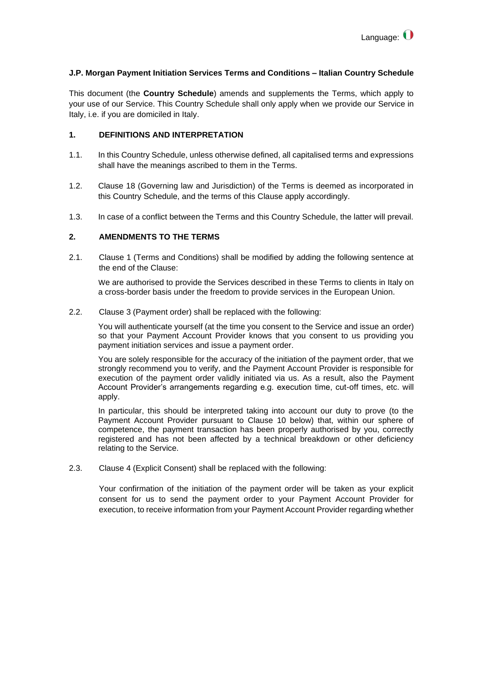## **J.P. Morgan Payment Initiation Services Terms and Conditions – Italian Country Schedule**

This document (the **Country Schedule**) amends and supplements the Terms, which apply to your use of our Service. This Country Schedule shall only apply when we provide our Service in Italy, i.e. if you are domiciled in Italy.

## **1. DEFINITIONS AND INTERPRETATION**

- 1.1. In this Country Schedule, unless otherwise defined, all capitalised terms and expressions shall have the meanings ascribed to them in the Terms.
- 1.2. Clause 18 (Governing law and Jurisdiction) of the Terms is deemed as incorporated in this Country Schedule, and the terms of this Clause apply accordingly.
- 1.3. In case of a conflict between the Terms and this Country Schedule, the latter will prevail.

## **2. AMENDMENTS TO THE TERMS**

2.1. Clause 1 (Terms and Conditions) shall be modified by adding the following sentence at the end of the Clause:

We are authorised to provide the Services described in these Terms to clients in Italy on a cross-border basis under the freedom to provide services in the European Union.

2.2. Clause 3 (Payment order) shall be replaced with the following:

You will authenticate yourself (at the time you consent to the Service and issue an order) so that your Payment Account Provider knows that you consent to us providing you payment initiation services and issue a payment order.

You are solely responsible for the accuracy of the initiation of the payment order, that we strongly recommend you to verify, and the Payment Account Provider is responsible for execution of the payment order validly initiated via us. As a result, also the Payment Account Provider's arrangements regarding e.g. execution time, cut-off times, etc. will apply.

In particular, this should be interpreted taking into account our duty to prove (to the Payment Account Provider pursuant to Clause 10 below) that, within our sphere of competence, the payment transaction has been properly authorised by you, correctly registered and has not been affected by a technical breakdown or other deficiency relating to the Service.

2.3. Clause 4 (Explicit Consent) shall be replaced with the following:

Your confirmation of the initiation of the payment order will be taken as your explicit consent for us to send the payment order to your Payment Account Provider for execution, to receive information from your Payment Account Provider regarding whether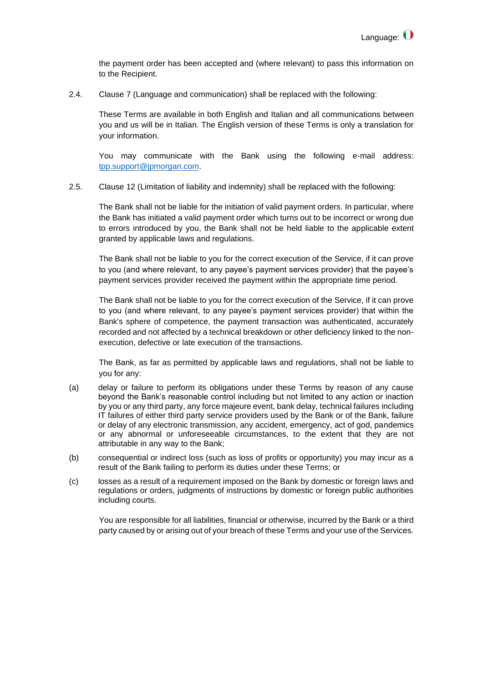the payment order has been accepted and (where relevant) to pass this information on to the Recipient.

2.4. Clause 7 (Language and communication) shall be replaced with the following:

These Terms are available in both English and Italian and all communications between you and us will be in Italian. The English version of these Terms is only a translation for your information.

You may communicate with the Bank using the following e-mail address: [tpp.support@jpmorgan.com.](mailto:tpp.support@jpmorgan.com)

2.5. Clause 12 (Limitation of liability and indemnity) shall be replaced with the following:

The Bank shall not be liable for the initiation of valid payment orders. In particular, where the Bank has initiated a valid payment order which turns out to be incorrect or wrong due to errors introduced by you, the Bank shall not be held liable to the applicable extent granted by applicable laws and regulations.

The Bank shall not be liable to you for the correct execution of the Service, if it can prove to you (and where relevant, to any payee's payment services provider) that the payee's payment services provider received the payment within the appropriate time period.

The Bank shall not be liable to you for the correct execution of the Service, if it can prove to you (and where relevant, to any payee's payment services provider) that within the Bank's sphere of competence, the payment transaction was authenticated, accurately recorded and not affected by a technical breakdown or other deficiency linked to the nonexecution, defective or late execution of the transactions.

The Bank, as far as permitted by applicable laws and regulations, shall not be liable to you for any:

- (a) delay or failure to perform its obligations under these Terms by reason of any cause beyond the Bank's reasonable control including but not limited to any action or inaction by you or any third party, any force majeure event, bank delay, technical failures including IT failures of either third party service providers used by the Bank or of the Bank, failure or delay of any electronic transmission, any accident, emergency, act of god, pandemics or any abnormal or unforeseeable circumstances, to the extent that they are not attributable in any way to the Bank;
- (b) consequential or indirect loss (such as loss of profits or opportunity) you may incur as a result of the Bank failing to perform its duties under these Terms; or
- (c) losses as a result of a requirement imposed on the Bank by domestic or foreign laws and regulations or orders, judgments of instructions by domestic or foreign public authorities including courts.

You are responsible for all liabilities, financial or otherwise, incurred by the Bank or a third party caused by or arising out of your breach of these Terms and your use of the Services.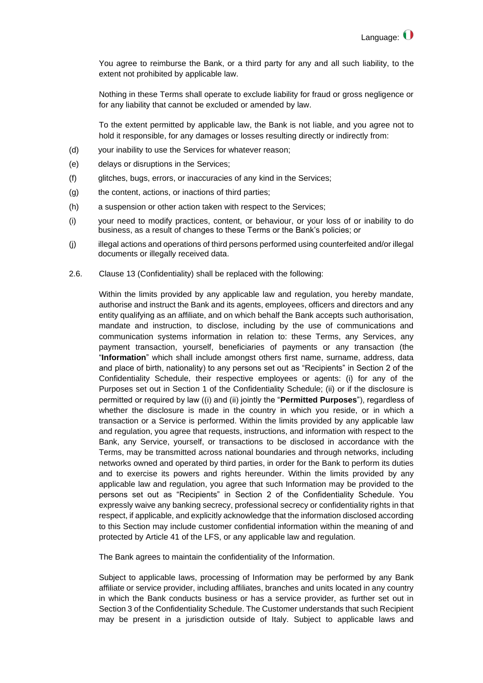You agree to reimburse the Bank, or a third party for any and all such liability, to the extent not prohibited by applicable law.

Nothing in these Terms shall operate to exclude liability for fraud or gross negligence or for any liability that cannot be excluded or amended by law.

To the extent permitted by applicable law, the Bank is not liable, and you agree not to hold it responsible, for any damages or losses resulting directly or indirectly from:

- (d) your inability to use the Services for whatever reason;
- (e) delays or disruptions in the Services;
- (f) glitches, bugs, errors, or inaccuracies of any kind in the Services;
- (g) the content, actions, or inactions of third parties;
- (h) a suspension or other action taken with respect to the Services;
- (i) your need to modify practices, content, or behaviour, or your loss of or inability to do business, as a result of changes to these Terms or the Bank's policies; or
- (j) illegal actions and operations of third persons performed using counterfeited and/or illegal documents or illegally received data.
- 2.6. Clause 13 (Confidentiality) shall be replaced with the following:

Within the limits provided by any applicable law and regulation, you hereby mandate, authorise and instruct the Bank and its agents, employees, officers and directors and any entity qualifying as an affiliate, and on which behalf the Bank accepts such authorisation, mandate and instruction, to disclose, including by the use of communications and communication systems information in relation to: these Terms, any Services, any payment transaction, yourself, beneficiaries of payments or any transaction (the "**Information**" which shall include amongst others first name, surname, address, data and place of birth, nationality) to any persons set out as "Recipients" in Section 2 of the Confidentiality Schedule, their respective employees or agents: (i) for any of the Purposes set out in Section 1 of the Confidentiality Schedule; (ii) or if the disclosure is permitted or required by law ((i) and (ii) jointly the "**Permitted Purposes**"), regardless of whether the disclosure is made in the country in which you reside, or in which a transaction or a Service is performed. Within the limits provided by any applicable law and regulation, you agree that requests, instructions, and information with respect to the Bank, any Service, yourself, or transactions to be disclosed in accordance with the Terms, may be transmitted across national boundaries and through networks, including networks owned and operated by third parties, in order for the Bank to perform its duties and to exercise its powers and rights hereunder. Within the limits provided by any applicable law and regulation, you agree that such Information may be provided to the persons set out as "Recipients" in Section 2 of the Confidentiality Schedule. You expressly waive any banking secrecy, professional secrecy or confidentiality rights in that respect, if applicable, and explicitly acknowledge that the information disclosed according to this Section may include customer confidential information within the meaning of and protected by Article 41 of the LFS, or any applicable law and regulation.

The Bank agrees to maintain the confidentiality of the Information.

Subject to applicable laws, processing of Information may be performed by any Bank affiliate or service provider, including affiliates, branches and units located in any country in which the Bank conducts business or has a service provider, as further set out in Section 3 of the Confidentiality Schedule. The Customer understands that such Recipient may be present in a jurisdiction outside of Italy. Subject to applicable laws and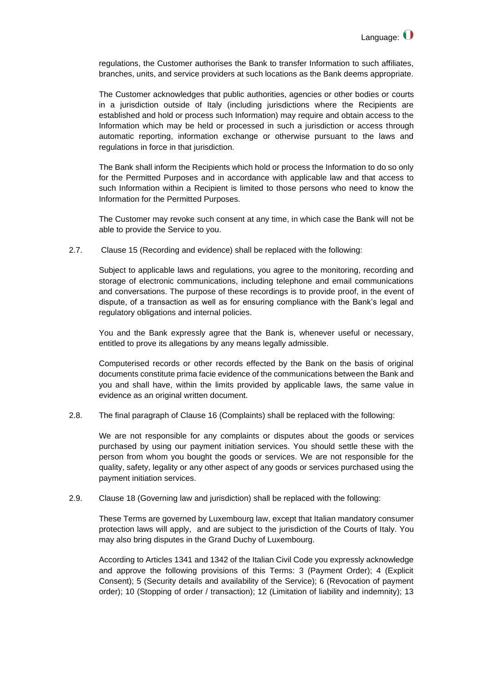regulations, the Customer authorises the Bank to transfer Information to such affiliates, branches, units, and service providers at such locations as the Bank deems appropriate.

The Customer acknowledges that public authorities, agencies or other bodies or courts in a jurisdiction outside of Italy (including jurisdictions where the Recipients are established and hold or process such Information) may require and obtain access to the Information which may be held or processed in such a jurisdiction or access through automatic reporting, information exchange or otherwise pursuant to the laws and regulations in force in that jurisdiction.

The Bank shall inform the Recipients which hold or process the Information to do so only for the Permitted Purposes and in accordance with applicable law and that access to such Information within a Recipient is limited to those persons who need to know the Information for the Permitted Purposes.

The Customer may revoke such consent at any time, in which case the Bank will not be able to provide the Service to you.

2.7. Clause 15 (Recording and evidence) shall be replaced with the following:

Subject to applicable laws and regulations, you agree to the monitoring, recording and storage of electronic communications, including telephone and email communications and conversations. The purpose of these recordings is to provide proof, in the event of dispute, of a transaction as well as for ensuring compliance with the Bank's legal and regulatory obligations and internal policies.

You and the Bank expressly agree that the Bank is, whenever useful or necessary, entitled to prove its allegations by any means legally admissible.

Computerised records or other records effected by the Bank on the basis of original documents constitute prima facie evidence of the communications between the Bank and you and shall have, within the limits provided by applicable laws, the same value in evidence as an original written document.

2.8. The final paragraph of Clause 16 (Complaints) shall be replaced with the following:

We are not responsible for any complaints or disputes about the goods or services purchased by using our payment initiation services. You should settle these with the person from whom you bought the goods or services. We are not responsible for the quality, safety, legality or any other aspect of any goods or services purchased using the payment initiation services.

2.9. Clause 18 (Governing law and jurisdiction) shall be replaced with the following:

These Terms are governed by Luxembourg law, except that Italian mandatory consumer protection laws will apply, and are subject to the jurisdiction of the Courts of Italy. You may also bring disputes in the Grand Duchy of Luxembourg.

According to Articles 1341 and 1342 of the Italian Civil Code you expressly acknowledge and approve the following provisions of this Terms: 3 (Payment Order); 4 (Explicit Consent); 5 (Security details and availability of the Service); 6 (Revocation of payment order); 10 (Stopping of order / transaction); 12 (Limitation of liability and indemnity); 13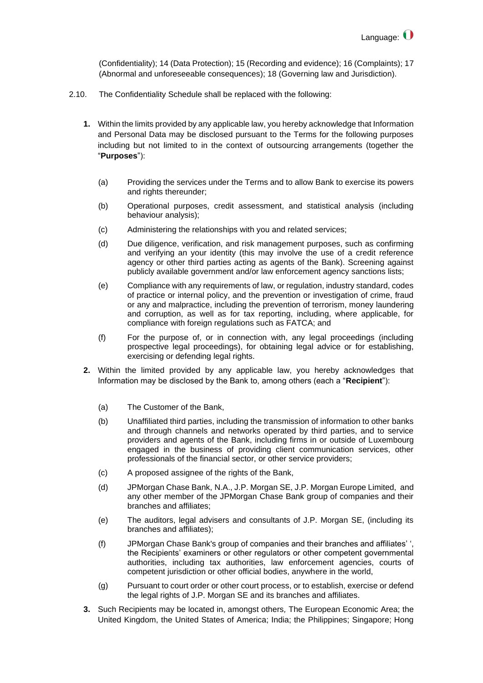(Confidentiality); 14 (Data Protection); 15 (Recording and evidence); 16 (Complaints); 17 (Abnormal and unforeseeable consequences); 18 (Governing law and Jurisdiction).

- 2.10. The Confidentiality Schedule shall be replaced with the following:
	- **1.** Within the limits provided by any applicable law, you hereby acknowledge that Information and Personal Data may be disclosed pursuant to the Terms for the following purposes including but not limited to in the context of outsourcing arrangements (together the "**Purposes**"):
		- (a) Providing the services under the Terms and to allow Bank to exercise its powers and rights thereunder;
		- (b) Operational purposes, credit assessment, and statistical analysis (including behaviour analysis);
		- (c) Administering the relationships with you and related services;
		- (d) Due diligence, verification, and risk management purposes, such as confirming and verifying an your identity (this may involve the use of a credit reference agency or other third parties acting as agents of the Bank). Screening against publicly available government and/or law enforcement agency sanctions lists;
		- (e) Compliance with any requirements of law, or regulation, industry standard, codes of practice or internal policy, and the prevention or investigation of crime, fraud or any and malpractice, including the prevention of terrorism, money laundering and corruption, as well as for tax reporting, including, where applicable, for compliance with foreign regulations such as FATCA; and
		- (f) For the purpose of, or in connection with, any legal proceedings (including prospective legal proceedings), for obtaining legal advice or for establishing, exercising or defending legal rights.
	- **2.** Within the limited provided by any applicable law, you hereby acknowledges that Information may be disclosed by the Bank to, among others (each a "**Recipient**"):
		- (a) The Customer of the Bank,
		- (b) Unaffiliated third parties, including the transmission of information to other banks and through channels and networks operated by third parties, and to service providers and agents of the Bank, including firms in or outside of Luxembourg engaged in the business of providing client communication services, other professionals of the financial sector, or other service providers;
		- (c) A proposed assignee of the rights of the Bank,
		- (d) JPMorgan Chase Bank, N.A., J.P. Morgan SE, J.P. Morgan Europe Limited, and any other member of the JPMorgan Chase Bank group of companies and their branches and affiliates;
		- (e) The auditors, legal advisers and consultants of J.P. Morgan SE, (including its branches and affiliates);
		- (f) JPMorgan Chase Bank's group of companies and their branches and affiliates' ', the Recipients' examiners or other regulators or other competent governmental authorities, including tax authorities, law enforcement agencies, courts of competent jurisdiction or other official bodies, anywhere in the world,
		- (g) Pursuant to court order or other court process, or to establish, exercise or defend the legal rights of J.P. Morgan SE and its branches and affiliates.
	- **3.** Such Recipients may be located in, amongst others*,* The European Economic Area; the United Kingdom, the United States of America; India; the Philippines; Singapore; Hong